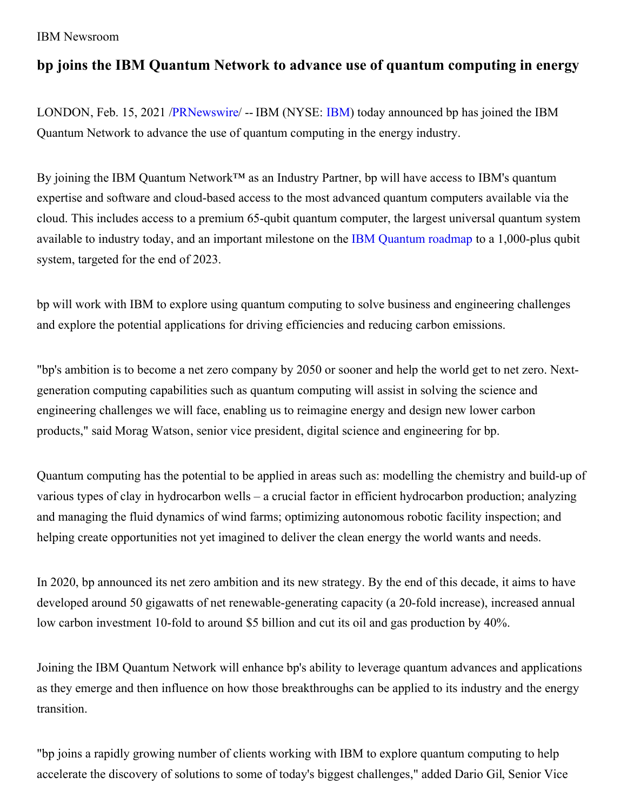# IBM Newsroom

# **bp joins the IBM Quantum Network to advance use of quantum computing in energy**

LONDON, Feb. 15, 2021 [/PRNewswire](http://www.prnewswire.com/)/ -- IBM (NYSE: [IBM](https://c212.net/c/link/?t=0&l=en&o=3067132-1&h=1923298721&u=http%3A%2F%2Fwww.ibm.com%2Finvestor&a=IBM)) today announced bp has joined the IBM Quantum Network to advance the use of quantum computing in the energy industry.

By joining the IBM Quantum Network™ as an Industry Partner, bp will have access to IBM's quantum expertise and software and cloud-based access to the most advanced quantum computers available via the cloud. This includes access to a premium 65-qubit quantum computer, the largest universal quantum system available to industry today, and an important milestone on the IBM [Quantum](https://c212.net/c/link/?t=0&l=en&o=3067132-1&h=3029043507&u=https%3A%2F%2Fwww.ibm.com%2Fblogs%2Fresearch%2F2020%2F09%2Fibm-quantum-roadmap%2F&a=IBM+Quantum+roadmap) roadmap to a 1,000-plus qubit system, targeted for the end of 2023.

bp will work with IBM to explore using quantum computing to solve business and engineering challenges and explore the potential applications for driving efficiencies and reducing carbon emissions.

"bp's ambition is to become a net zero company by 2050 or sooner and help the world get to net zero. Nextgeneration computing capabilities such as quantum computing will assist in solving the science and engineering challenges we will face, enabling us to reimagine energy and design new lower carbon products," said Morag Watson, senior vice president, digital science and engineering for bp.

Quantum computing has the potential to be applied in areas such as: modelling the chemistry and build-up of various types of clay in hydrocarbon wells – a crucial factor in efficient hydrocarbon production; analyzing and managing the fluid dynamics of wind farms; optimizing autonomous robotic facility inspection; and helping create opportunities not yet imagined to deliver the clean energy the world wants and needs.

In 2020, bp announced its net zero ambition and its new strategy. By the end of this decade, it aims to have developed around 50 gigawatts of net renewable-generating capacity (a 20-fold increase), increased annual low carbon investment 10-fold to around \$5 billion and cut its oil and gas production by 40%.

Joining the IBM Quantum Network will enhance bp's ability to leverage quantum advances and applications as they emerge and then influence on how those breakthroughs can be applied to its industry and the energy transition.

"bp joins a rapidly growing number of clients working with IBM to explore quantum computing to help accelerate the discovery of solutions to some of today's biggest challenges," added Dario Gil, Senior Vice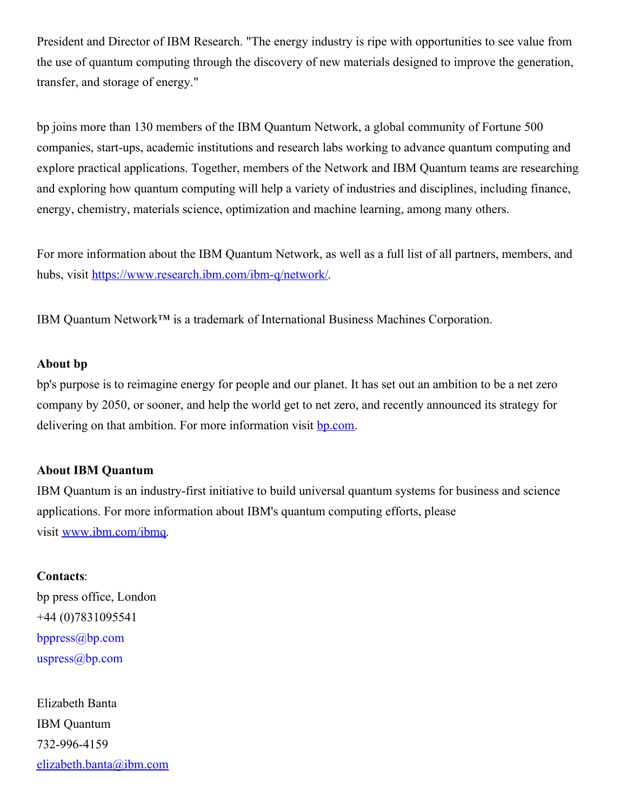President and Director of IBM Research. "The energy industry is ripe with opportunities to see value from the use of quantum computing through the discovery of new materials designed to improve the generation, transfer, and storage of energy."

bp joins more than 130 members of the IBM Quantum Network, a global community of Fortune 500 companies, start-ups, academic institutions and research labs working to advance quantum computing and explore practical applications. Together, members of the Network and IBM Quantum teams are researching and exploring how quantum computing will help a variety of industries and disciplines, including finance, energy, chemistry, materials science, optimization and machine learning, among many others.

For more information about the IBM Quantum Network, as well as a full list of all partners, members, and hubs, visit [https://www.research.ibm.com/ibm-q/network/](https://c212.net/c/link/?t=0&l=en&o=3067132-1&h=1476410150&u=https%3A%2F%2Fwww.research.ibm.com%2Fibm-q%2Fnetwork%2F&a=https%3A%2F%2Fwww.research.ibm.com%2Fibm-q%2Fnetwork%2F).

IBM Quantum Network™ is a trademark of International Business Machines Corporation.

#### **About bp**

bp's purpose is to reimagine energy for people and our planet. It has set out an ambition to be a net zero company by 2050, or sooner, and help the world get to net zero, and recently announced its strategy for delivering on that ambition. For more information visit **[bp.com](https://c212.net/c/link/?t=0&l=en&o=3067132-1&h=288925304&u=https%3A%2F%2Furldefense.proofpoint.com%2Fv2%2Furl%3Fu%3Dhttps-3A__www.bp.com_%26d%3DDwMGaQ%26c%3Djf_iaSHvJObTbx-siA1ZOg%26r%3D5jY8MGUO5eo6DDrqUcl3NqCNH41M0zbEbWyeMc1omvw%26m%3DlZn0-TnUnFY1ipQFE0m1Eaa7NiDGzzYCF8mfRoiADIw%26s%3D1skin0e3a8cyKUBPoZOkjWeIzm5PgdeNuyDD3BeErvs%26e%3D&a=bp.com)**.

#### **About IBM Quantum**

IBM Quantum is an industry-first initiative to build universal quantum systems for business and science applications. For more information about IBM's quantum computing efforts, please visit [www.ibm.com/ibmq](https://c212.net/c/link/?t=0&l=en&o=3067132-1&h=26841893&u=http%3A%2F%2Fwww.ibm.com%2Fibmq&a=www.ibm.com%2Fibmq).

## **Contacts**:

bp press office, London +44 (0)7831095541 [bppress@bp.com](mailto:bppress@bp.com) [uspress@bp.com](mailto:uspress@bp.com)

Elizabeth Banta IBM Quantum 732-996-4159 [elizabeth.banta@ibm.com](mailto:elizabeth.banta@ibm.com)